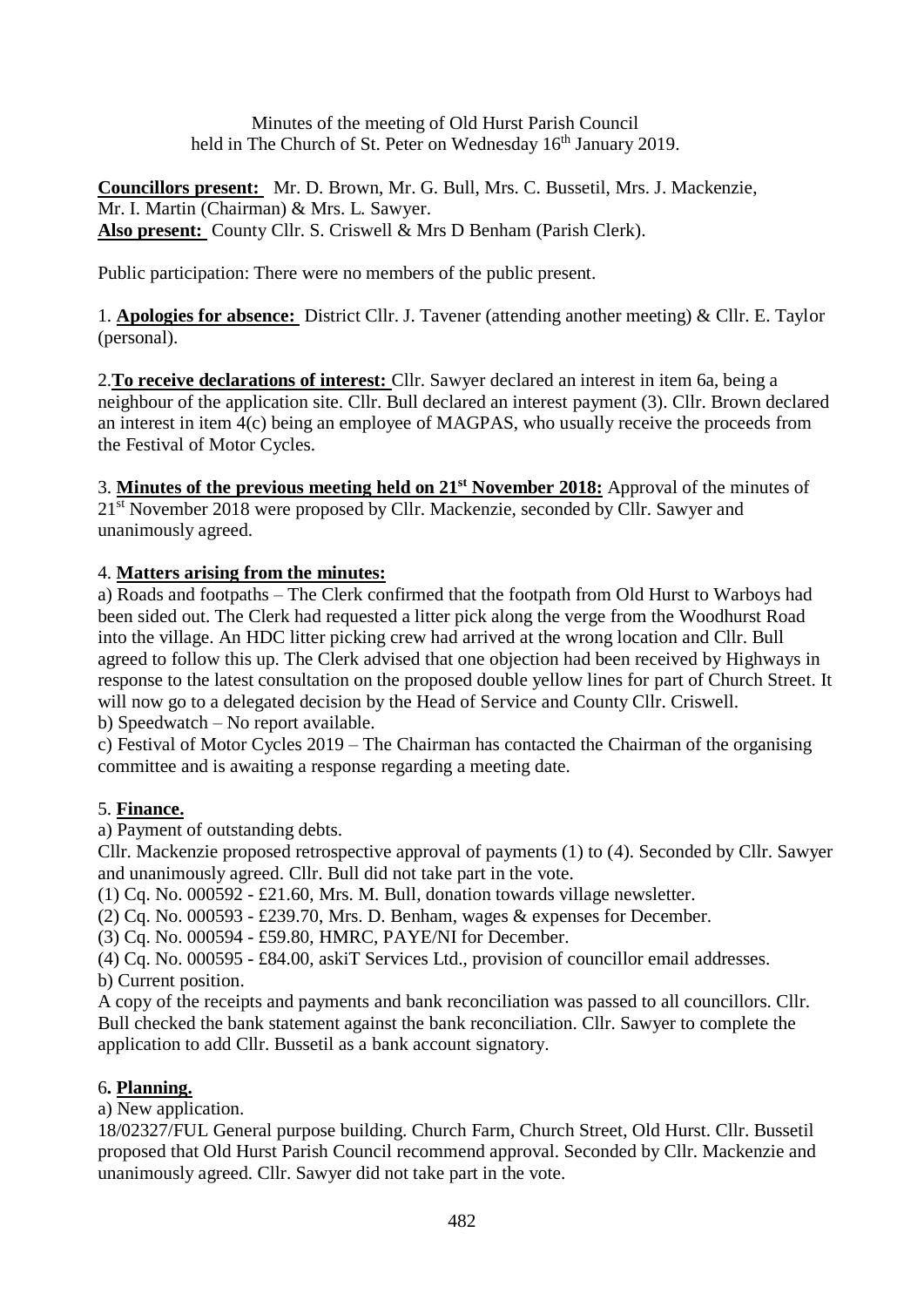Minutes of the meeting of Old Hurst Parish Council held in The Church of St. Peter on Wednesday 16<sup>th</sup> January 2019.

**Councillors present:** Mr. D. Brown, Mr. G. Bull, Mrs. C. Bussetil, Mrs. J. Mackenzie, Mr. I. Martin (Chairman) & Mrs. L. Sawyer. **Also present:** County Cllr. S. Criswell & Mrs D Benham (Parish Clerk).

Public participation: There were no members of the public present.

1. **Apologies for absence:** District Cllr. J. Tavener (attending another meeting) & Cllr. E. Taylor (personal).

2.**To receive declarations of interest:** Cllr. Sawyer declared an interest in item 6a, being a neighbour of the application site. Cllr. Bull declared an interest payment (3). Cllr. Brown declared an interest in item 4(c) being an employee of MAGPAS, who usually receive the proceeds from the Festival of Motor Cycles.

3. **Minutes of the previous meeting held on 21st November 2018:** Approval of the minutes of 21<sup>st</sup> November 2018 were proposed by Cllr. Mackenzie, seconded by Cllr. Sawyer and unanimously agreed.

### 4. **Matters arising from the minutes:**

a) Roads and footpaths – The Clerk confirmed that the footpath from Old Hurst to Warboys had been sided out. The Clerk had requested a litter pick along the verge from the Woodhurst Road into the village. An HDC litter picking crew had arrived at the wrong location and Cllr. Bull agreed to follow this up. The Clerk advised that one objection had been received by Highways in response to the latest consultation on the proposed double yellow lines for part of Church Street. It will now go to a delegated decision by the Head of Service and County Cllr. Criswell.

b) Speedwatch – No report available.

c) Festival of Motor Cycles 2019 – The Chairman has contacted the Chairman of the organising committee and is awaiting a response regarding a meeting date.

# 5. **Finance.**

a) Payment of outstanding debts.

Cllr. Mackenzie proposed retrospective approval of payments (1) to (4). Seconded by Cllr. Sawyer and unanimously agreed. Cllr. Bull did not take part in the vote.

(1) Cq. No. 000592 - £21.60, Mrs. M. Bull, donation towards village newsletter.

(2) Cq. No. 000593 - £239.70, Mrs. D. Benham, wages & expenses for December.

(3) Cq. No. 000594 - £59.80, HMRC, PAYE/NI for December.

(4) Cq. No. 000595 - £84.00, askiT Services Ltd., provision of councillor email addresses. b) Current position.

A copy of the receipts and payments and bank reconciliation was passed to all councillors. Cllr. Bull checked the bank statement against the bank reconciliation. Cllr. Sawyer to complete the application to add Cllr. Bussetil as a bank account signatory.

# 6**. Planning.**

a) New application.

18/02327/FUL General purpose building. Church Farm, Church Street, Old Hurst. Cllr. Bussetil proposed that Old Hurst Parish Council recommend approval. Seconded by Cllr. Mackenzie and unanimously agreed. Cllr. Sawyer did not take part in the vote.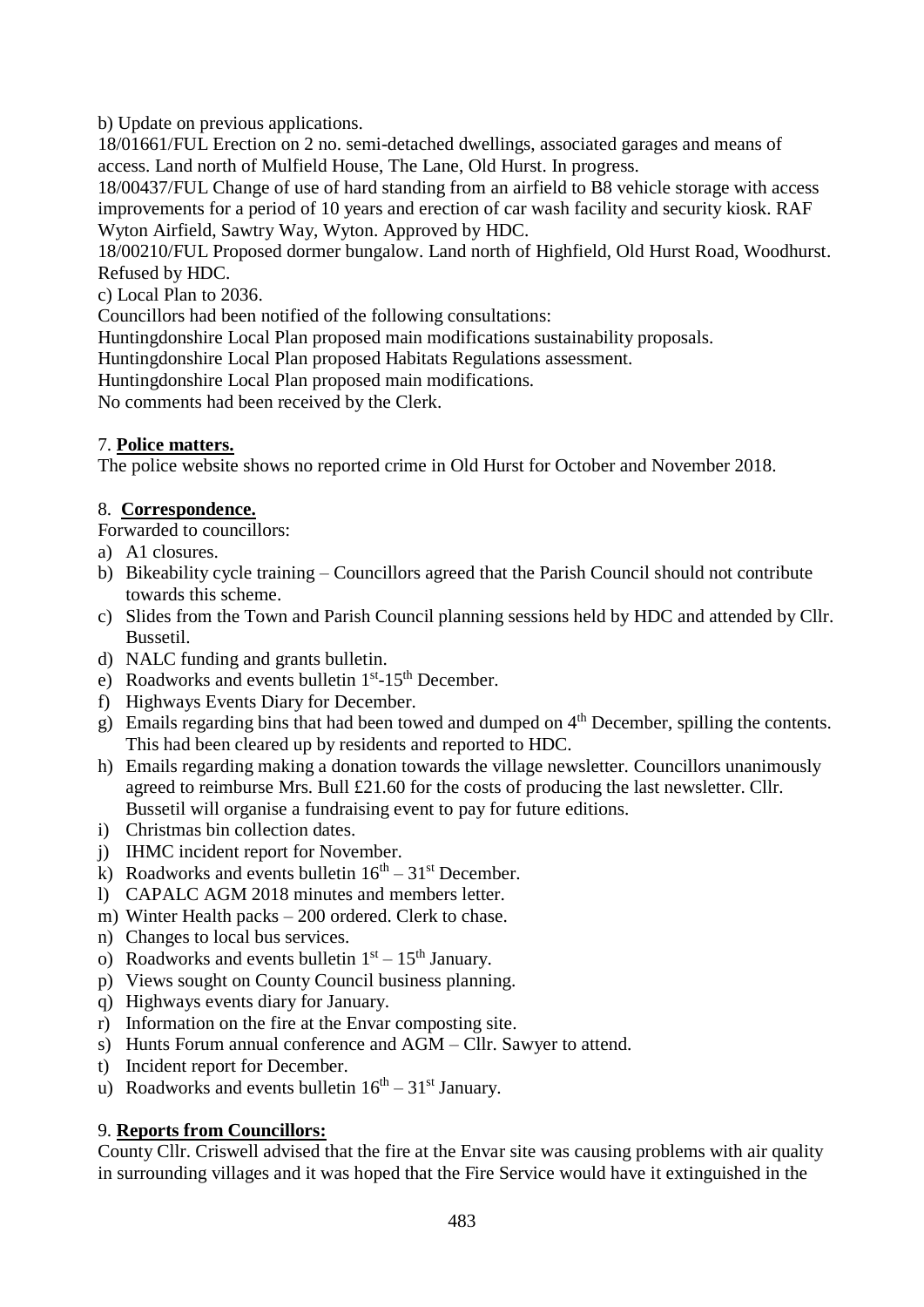b) Update on previous applications.

18/01661/FUL Erection on 2 no. semi-detached dwellings, associated garages and means of access. Land north of Mulfield House, The Lane, Old Hurst. In progress.

18/00437/FUL Change of use of hard standing from an airfield to B8 vehicle storage with access improvements for a period of 10 years and erection of car wash facility and security kiosk. RAF Wyton Airfield, Sawtry Way, Wyton. Approved by HDC.

18/00210/FUL Proposed dormer bungalow. Land north of Highfield, Old Hurst Road, Woodhurst. Refused by HDC.

c) Local Plan to 2036.

Councillors had been notified of the following consultations:

Huntingdonshire Local Plan proposed main modifications sustainability proposals.

Huntingdonshire Local Plan proposed Habitats Regulations assessment.

Huntingdonshire Local Plan proposed main modifications.

No comments had been received by the Clerk.

### 7. **Police matters.**

The police website shows no reported crime in Old Hurst for October and November 2018.

#### 8. **Correspondence.**

Forwarded to councillors:

- a) A1 closures.
- b) Bikeability cycle training Councillors agreed that the Parish Council should not contribute towards this scheme.
- c) Slides from the Town and Parish Council planning sessions held by HDC and attended by Cllr. Bussetil.
- d) NALC funding and grants bulletin.
- e) Roadworks and events bulletin  $1<sup>st</sup> 15<sup>th</sup>$  December.
- f) Highways Events Diary for December.
- g) Emails regarding bins that had been towed and dumped on  $4<sup>th</sup>$  December, spilling the contents. This had been cleared up by residents and reported to HDC.
- h) Emails regarding making a donation towards the village newsletter. Councillors unanimously agreed to reimburse Mrs. Bull £21.60 for the costs of producing the last newsletter. Cllr. Bussetil will organise a fundraising event to pay for future editions.
- i) Christmas bin collection dates.
- j) IHMC incident report for November.
- k) Roadworks and events bulletin  $16<sup>th</sup> 31<sup>st</sup>$  December.
- l) CAPALC AGM 2018 minutes and members letter.
- m) Winter Health packs 200 ordered. Clerk to chase.
- n) Changes to local bus services.
- o) Roadworks and events bulletin  $1<sup>st</sup> 15<sup>th</sup>$  January.
- p) Views sought on County Council business planning.
- q) Highways events diary for January.
- r) Information on the fire at the Envar composting site.
- s) Hunts Forum annual conference and AGM Cllr. Sawyer to attend.
- t) Incident report for December.
- u) Roadworks and events bulletin  $16<sup>th</sup> 31<sup>st</sup>$  January.

### 9. **Reports from Councillors:**

County Cllr. Criswell advised that the fire at the Envar site was causing problems with air quality in surrounding villages and it was hoped that the Fire Service would have it extinguished in the